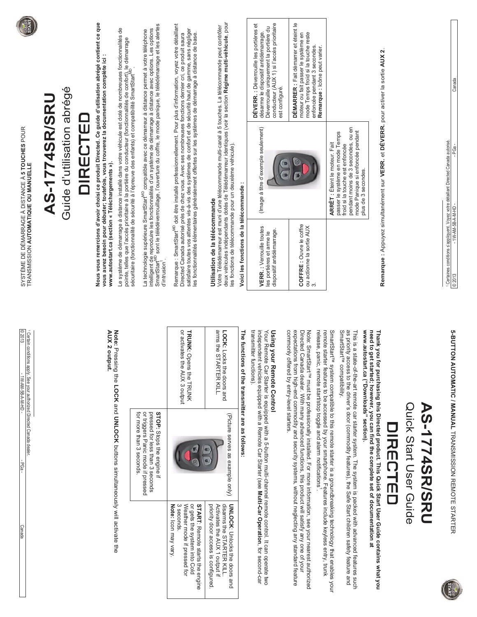| SYSTÈME DE DÉMARRAGE À DISTANCE À 5 TOUCHES POUR<br>TRANSMISSION AUTOMATIQUE OU MANUELLE               | <b>AS-1774SR/SRU</b> | Guide d'utilisation abrégé | <b>DIRECTEL</b> | Nous vous remercions d'avoir choisi ce produit Directed. Ce guide d'utilisation abrégé contient ce que<br>vous aurez besoin pour débuter; toutefois, vous trouverez la documentation complète ici : | Le système de démarrage à distance installé dans votre véhicule est doté de nombreuses fonctionnalités de<br>pointe, telles que l'accès prioritaire à la portière du conducteur (fonctionnalités de confort), le démarrage<br>sécuri | La technologie supérieure SmartStart <sup>wo</sup> compatible avec ce démarreur à distance permet à votre téléphone<br>intelligent de reproduire les fonctionnalités d'un système de démarrage à distance avec options. Les options<br>SmartSt | Remarque : SmartStart <sup>wo</sup> doit être installé professionnellement. Pour plus d'information, voyez votre détaillant<br>Directed Canada autorisé près de chez vous. Avec ses nombreuses fonctions dernier cri, ce produit saura<br>satisfaire toutes vos attentes vis-à-vis des systèmes de confort et de sécurité haut de gamme, sans négliger<br>les fonct | deux véhicules indépendants dotés de Télédémarreur identiques (voir la section <b>Régime multi-véhicule</b> , pour<br>Votre Télédémarreur est muni d'une télécommande multi-canal à 5 touches. La télécommande peut contrôler<br>les fonctions de télécommande pour un deuxième véhicule). |                                                                                              | DÉVERR. : Déverrouille les portières et<br>conducteur (AUX 1) si l'accès prioritaire<br>Déverrouille uniquement la portière du<br>désarme le dispositif antidémarrage.<br>est configuré<br>(Image à titre d'exemple seulement) | DÉMARRER : Fait démarrer et éteint le<br>mode Temps froid si la touche reste<br>moteur ou fait passer le système en<br>enfoncée pendant 3 secondes.                                                                                                                                                            | Remarque : Icône peut varier.<br><b>ARRÊT</b> : Éteint le moteur. Fait                                                                                                                                                                                                                      | pendant moins de 3 secondes, ou en<br>mode Panique si enfoncée pendant<br>passer le système en mode Temps<br>froid si la touche est enfoncée                                                                       | Remarque : Appuyez simultanément sur VERR. et DÉVERR. pour activer la sortie AUX 2<br>plus de 3 secondes.                                                                                                                   |                |                        |                      | 1 Certaines conditions s'appliquent. Voyez votre détaillant Directed Canada autorisé. | Canada<br>- PGa                                            |
|--------------------------------------------------------------------------------------------------------|----------------------|----------------------------|-----------------|-----------------------------------------------------------------------------------------------------------------------------------------------------------------------------------------------------|--------------------------------------------------------------------------------------------------------------------------------------------------------------------------------------------------------------------------------------|------------------------------------------------------------------------------------------------------------------------------------------------------------------------------------------------------------------------------------------------|---------------------------------------------------------------------------------------------------------------------------------------------------------------------------------------------------------------------------------------------------------------------------------------------------------------------------------------------------------------------|--------------------------------------------------------------------------------------------------------------------------------------------------------------------------------------------------------------------------------------------------------------------------------------------|----------------------------------------------------------------------------------------------|--------------------------------------------------------------------------------------------------------------------------------------------------------------------------------------------------------------------------------|----------------------------------------------------------------------------------------------------------------------------------------------------------------------------------------------------------------------------------------------------------------------------------------------------------------|---------------------------------------------------------------------------------------------------------------------------------------------------------------------------------------------------------------------------------------------------------------------------------------------|--------------------------------------------------------------------------------------------------------------------------------------------------------------------------------------------------------------------|-----------------------------------------------------------------------------------------------------------------------------------------------------------------------------------------------------------------------------|----------------|------------------------|----------------------|---------------------------------------------------------------------------------------|------------------------------------------------------------|
| © 2013<br>1 Certain conditions apply. See your authorized Directed Canada dealer<br>- OH-M-A-B-MA-M-W1 |                      |                            |                 | www.autostart.ca (section « Téléchargements »).<br>AUX 2 o<br>utput.                                                                                                                                |                                                                                                                                                                                                                                      | d'intrusion                                                                                                                                                                                                                                    | <b>TRUNK:</b> Opens the TRUNK<br>or activates the AUX 3 output                                                                                                                                                                                                                                                                                                      | Utilisation de la télécommande<br>arms the STARTER KILL.<br>LOCK: Locks the doors and                                                                                                                                                                                                      | Voici les fonctions de la télécommande :<br>The functions of the transmitter are as follows: | VERR.: Verrouille toutes<br>dispositif antidémarrage.<br>les portières et arme le<br>transmitter functions).<br><b>Using your Remote Control</b>                                                                               | COFFRE : Ouvre le coffre<br>ou actionne la sortie AUX<br>က<br>commonly offered by entry-level starters.<br>expectatio                                                                                                                                                                                          |                                                                                                                                                                                                                                                                                             | SmartStart <sup>™</sup> compatibility.                                                                                                                                                                             |                                                                                                                                                                                                                             |                |                        |                      |                                                                                       | $-W-AM-SB-A-M-HD$<br>© 2013                                |
| PGa-<br><b>Canada</b>                                                                                  |                      |                            |                 |                                                                                                                                                                                                     | Note: Pressing the LOCK and UNLOCK puttons simultaneously will activate the                                                                                                                                                          | for more than 3 seconds<br>or triggers Panic mode if pressed<br>pressed for less than 3 seconds<br>STOP: Stops the engine if                                                                                                                   | Note: Icon may vary<br>3 seconds.<br>Weather mode if pressed for<br>or gets the system into Cold<br><b>START: Remote starts the engine</b>                                                                                                                                                                                                                          | (Picture serves as example only)<br><b>UNLOCK:</b> Unlocks the doors and<br>disarms the STARTER KILL.<br>priority door access is configured.<br>Activates the AUX 1 output if                                                                                                              |                                                                                              | Your Remote Car Starter is equipped with a 5-button multi-channel remote control. It can operate two<br>independent vehicles equipped with a Remote Car Starter (see <b>Multi-Car Operation,</b> for second-car                | Note: SmartStarT" must be professionally installed. For more information, see your nearest authorized<br>Directed Canada dealer. With many advanced functions, this product will satisfy any one of your<br>expectations from high-end commodity and security systems, without neglecting any standard feature | remote starter features to be accessed by your smartphone. Features include keyless entry, trunk<br>release, panic, remote start/stop toggle and alarm notifications'.<br>SmartStart <sup>™</sup> system compatible to this remote starter is a groundbreaking technology that enables your | This is a state-of-the-art remote car starter system. The system is packed with advanced features such<br>as priority access to the driver's door (commodity features), the Safe Start children safety feature and | need to get started; however, you can find the complete set of documentation at<br>www.autostart.ca ("Downloads" section).<br>Thank you for purchasing this Directed product. This Quick Start User Guide contains what you | <b>IRECTED</b> | Quick Start User Guide | <b>AS-1774SR/SRU</b> |                                                                                       | <b>5-BUTTON AUTOMATIC / MANUAL TRANSION REMOTE STARTER</b> |